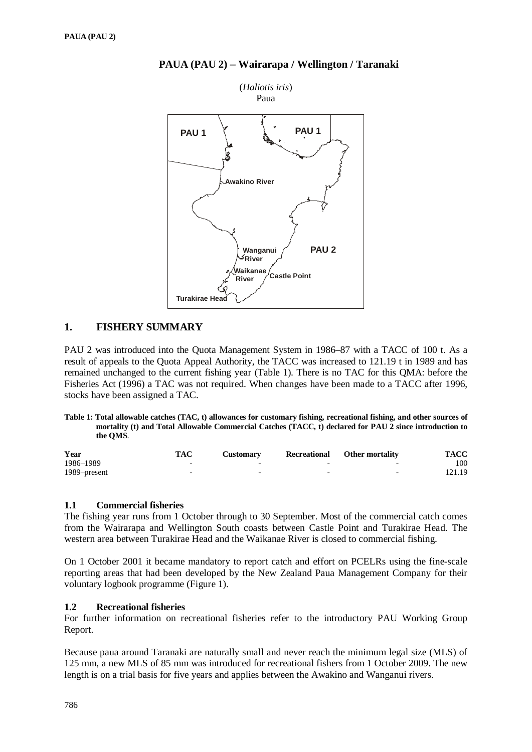

### **PAUA (PAU 2)** − **Wairarapa / Wellington / Taranaki**

### **1. FISHERY SUMMARY**

PAU 2 was introduced into the Quota Management System in 1986–87 with a TACC of 100 t. As a result of appeals to the Quota Appeal Authority, the TACC was increased to 121.19 t in 1989 and has remained unchanged to the current fishing year (Table 1). There is no TAC for this QMA: before the Fisheries Act (1996) a TAC was not required. When changes have been made to a TACC after 1996, stocks have been assigned a TAC.

#### **Table 1: Total allowable catches (TAC, t) allowances for customary fishing, recreational fishing, and other sources of mortality (t) and Total Allowable Commercial Catches (TACC, t) declared for PAU 2 since introduction to the QMS**.

| Year         | TAC | Customarv                | Recreational | <b>Other mortality</b>   | <b>TACC</b> |
|--------------|-----|--------------------------|--------------|--------------------------|-------------|
| 1986-1989    |     | $\overline{\phantom{0}}$ |              | $\overline{\phantom{0}}$ | 100         |
| 1989–present |     | $\overline{\phantom{0}}$ | -            | $\overline{\phantom{0}}$ | 121.19      |

#### **1.1 Commercial fisheries**

The fishing year runs from 1 October through to 30 September. Most of the commercial catch comes from the Wairarapa and Wellington South coasts between Castle Point and Turakirae Head. The western area between Turakirae Head and the Waikanae River is closed to commercial fishing.

On 1 October 2001 it became mandatory to report catch and effort on PCELRs using the fine-scale reporting areas that had been developed by the New Zealand Paua Management Company for their voluntary logbook programme (Figure 1).

#### **1.2 Recreational fisheries**

For further information on recreational fisheries refer to the introductory PAU Working Group Report.

Because paua around Taranaki are naturally small and never reach the minimum legal size (MLS) of 125 mm, a new MLS of 85 mm was introduced for recreational fishers from 1 October 2009. The new length is on a trial basis for five years and applies between the Awakino and Wanganui rivers.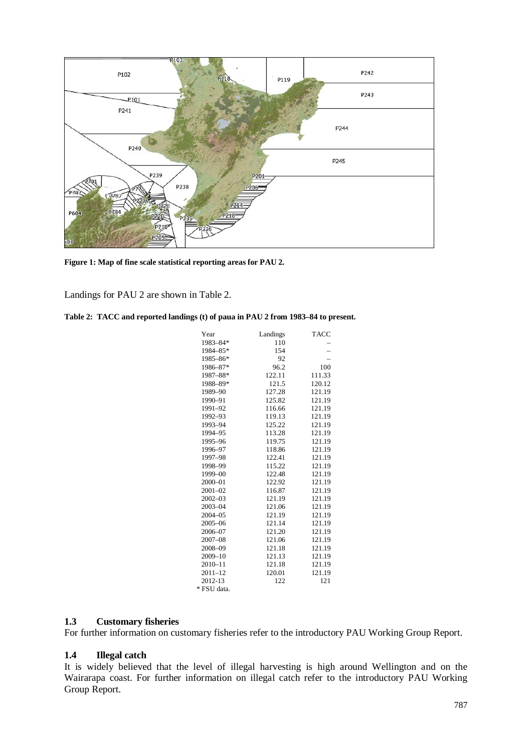

**Figure 1: Map of fine scale statistical reporting areas for PAU 2.**

Landings for PAU 2 are shown in Table 2.

|  |  |  |  |  |  | Table 2: TACC and reported landings (t) of paua in PAU 2 from 1983–84 to present. |
|--|--|--|--|--|--|-----------------------------------------------------------------------------------|
|--|--|--|--|--|--|-----------------------------------------------------------------------------------|

| Year        | Landings | TACC   |
|-------------|----------|--------|
| 1983-84*    | 110      |        |
| 1984-85*    | 154      |        |
| 1985-86*    | 92       |        |
| 1986-87*    | 96.2     | 100    |
| 1987-88*    | 122.11   | 111.33 |
| 1988-89*    | 121.5    | 120.12 |
| 1989-90     | 127.28   | 121.19 |
| 1990-91     | 125.82   | 121.19 |
| 1991-92     | 116.66   | 121.19 |
| 1992-93     | 119.13   | 121.19 |
| 1993-94     | 125.22   | 121.19 |
| 1994-95     | 113.28   | 121.19 |
| 1995-96     | 119.75   | 121.19 |
| 1996-97     | 118.86   | 121.19 |
| 1997-98     | 122.41   | 121.19 |
| 1998-99     | 115.22   | 121.19 |
| 1999-00     | 122.48   | 121.19 |
| 2000-01     | 122.92   | 121.19 |
| $2001 - 02$ | 116.87   | 121.19 |
| $2002 - 03$ | 121.19   | 121.19 |
| 2003-04     | 121.06   | 121.19 |
| $2004 - 05$ | 121.19   | 121.19 |
| $2005 - 06$ | 121.14   | 121.19 |
| 2006-07     | 121.20   | 121.19 |
| $2007 - 08$ | 121.06   | 121.19 |
| 2008-09     | 121.18   | 121.19 |
| 2009-10     | 121.13   | 121.19 |
| $2010 - 11$ | 121.18   | 121.19 |
| $2011 - 12$ | 120.01   | 121.19 |
| 2012-13     | 122      | 121    |
| * FSU data. |          |        |

### **1.3 Customary fisheries**

For further information on customary fisheries refer to the introductory PAU Working Group Report.

#### **1.4 Illegal catch**

It is widely believed that the level of illegal harvesting is high around Wellington and on the Wairarapa coast. For further information on illegal catch refer to the introductory PAU Working Group Report.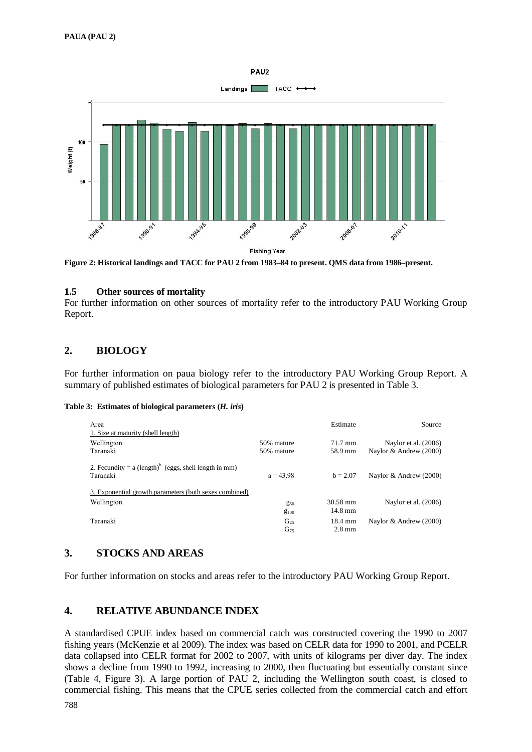

**Figure 2: Historical landings and TACC for PAU 2 from 1983–84 to present. QMS data from 1986–present.** 

#### **1.5 Other sources of mortality**

For further information on other sources of mortality refer to the introductory PAU Working Group Report.

# **2. BIOLOGY**

For further information on paua biology refer to the introductory PAU Working Group Report. A summary of published estimates of biological parameters for PAU 2 is presented in Table 3.

#### **Table 3: Estimates of biological parameters (***H. iris***)**

| Area<br>1. Size at maturity (shell length)                                      |                          | Estimate                      | Source                                           |
|---------------------------------------------------------------------------------|--------------------------|-------------------------------|--------------------------------------------------|
| Wellington<br>Taranaki                                                          | 50% mature<br>50% mature | 71.7 mm<br>58.9 mm            | Naylor et al. $(2006)$<br>Naylor & Andrew (2000) |
| 2. Fecundity = $a$ (length) <sup>b</sup> (eggs, shell length in mm)<br>Taranaki | $a = 43.98$              | $b = 2.07$                    | Naylor & Andrew (2000)                           |
| 3. Exponential growth parameters (both sexes combined)                          |                          |                               |                                                  |
| Wellington                                                                      | $g_{50}$<br>$g_{100}$    | 30.58 mm<br>$14.8 \text{ mm}$ | Naylor et al. $(2006)$                           |
| Taranaki                                                                        | $G_{25}$<br>$G_{75}$     | 18.4 mm<br>$2.8 \text{ mm}$   | Naylor & Andrew (2000)                           |

## **3. STOCKS AND AREAS**

For further information on stocks and areas refer to the introductory PAU Working Group Report.

## **4. RELATIVE ABUNDANCE INDEX**

A standardised CPUE index based on commercial catch was constructed covering the 1990 to 2007 fishing years (McKenzie et al 2009). The index was based on CELR data for 1990 to 2001, and PCELR data collapsed into CELR format for 2002 to 2007, with units of kilograms per diver day. The index shows a decline from 1990 to 1992, increasing to 2000, then fluctuating but essentially constant since (Table 4, Figure 3). A large portion of PAU 2, including the Wellington south coast, is closed to commercial fishing. This means that the CPUE series collected from the commercial catch and effort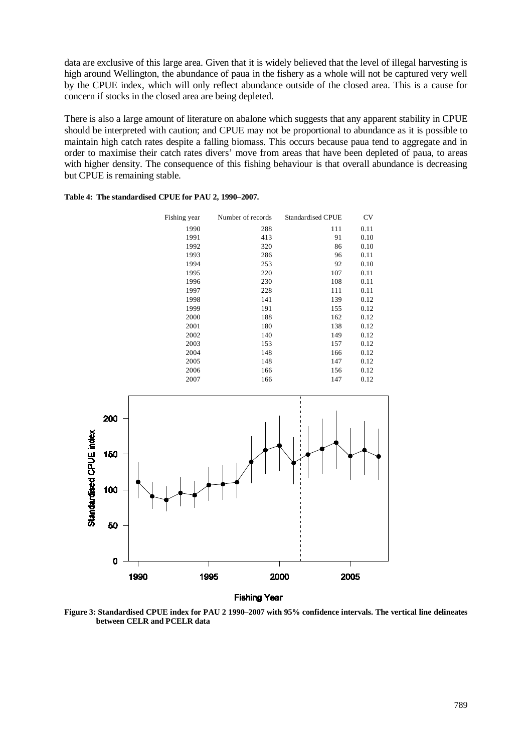data are exclusive of this large area. Given that it is widely believed that the level of illegal harvesting is high around Wellington, the abundance of paua in the fishery as a whole will not be captured very well by the CPUE index, which will only reflect abundance outside of the closed area. This is a cause for concern if stocks in the closed area are being depleted.

There is also a large amount of literature on abalone which suggests that any apparent stability in CPUE should be interpreted with caution; and CPUE may not be proportional to abundance as it is possible to maintain high catch rates despite a falling biomass. This occurs because paua tend to aggregate and in order to maximise their catch rates divers' move from areas that have been depleted of paua, to areas with higher density. The consequence of this fishing behaviour is that overall abundance is decreasing but CPUE is remaining stable.

| Table 4: The standardised CPUE for PAU 2, 1990–2007. |  |  |  |
|------------------------------------------------------|--|--|--|
|------------------------------------------------------|--|--|--|

| Fishing year | Number of records | <b>Standardised CPUE</b> | <b>CV</b> |
|--------------|-------------------|--------------------------|-----------|
| 1990         | 288               | 111                      | 0.11      |
| 1991         | 413               | 91                       | 0.10      |
| 1992         | 320               | 86                       | 0.10      |
| 1993         | 286               | 96                       | 0.11      |
| 1994         | 253               | 92                       | 0.10      |
| 1995         | 220               | 107                      | 0.11      |
| 1996         | 230               | 108                      | 0.11      |
| 1997         | 228               | 111                      | 0.11      |
| 1998         | 141               | 139                      | 0.12      |
| 1999         | 191               | 155                      | 0.12      |
| 2000         | 188               | 162                      | 0.12      |
| 2001         | 180               | 138                      | 0.12      |
| 2002         | 140               | 149                      | 0.12      |
| 2003         | 153               | 157                      | 0.12      |
| 2004         | 148               | 166                      | 0.12      |
| 2005         | 148               | 147                      | 0.12      |
| 2006         | 166               | 156                      | 0.12      |
| 2007         | 166               | 147                      | 0.12      |



**Fishing Year** 

**Figure 3: Standardised CPUE index for PAU 2 1990–2007 with 95% confidence intervals. The vertical line delineates between CELR and PCELR data**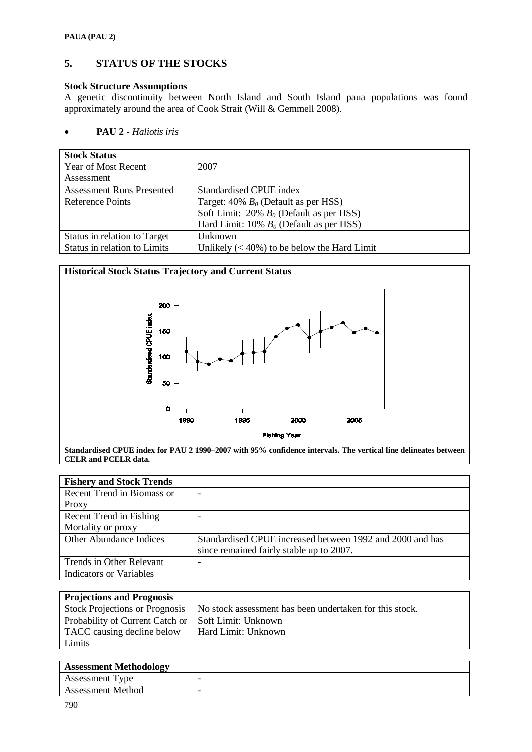# **5. STATUS OF THE STOCKS**

### **Stock Structure Assumptions**

A genetic discontinuity between North Island and South Island paua populations was found approximately around the area of Cook Strait (Will & Gemmell 2008).

### • **PAU 2 -** *Haliotis iris*

| <b>Stock Status</b>              |                                                |
|----------------------------------|------------------------------------------------|
| Year of Most Recent              | 2007                                           |
| Assessment                       |                                                |
| <b>Assessment Runs Presented</b> | Standardised CPUE index                        |
| <b>Reference Points</b>          | Target: $40\% B_0$ (Default as per HSS)        |
|                                  | Soft Limit: 20% $B_0$ (Default as per HSS)     |
|                                  | Hard Limit: 10% $B_0$ (Default as per HSS)     |
| Status in relation to Target     | Unknown                                        |
| Status in relation to Limits     | Unlikely $(< 40\%)$ to be below the Hard Limit |



**Standardised CPUE index for PAU 2 1990–2007 with 95% confidence intervals. The vertical line delineates between CELR and PCELR data.** 

| <b>Fishery and Stock Trends</b> |                                                           |
|---------------------------------|-----------------------------------------------------------|
| Recent Trend in Biomass or      | -                                                         |
| Proxy                           |                                                           |
| Recent Trend in Fishing         |                                                           |
| Mortality or proxy              |                                                           |
| Other Abundance Indices         | Standardised CPUE increased between 1992 and 2000 and has |
|                                 | since remained fairly stable up to 2007.                  |
| Trends in Other Relevant        |                                                           |
| Indicators or Variables         |                                                           |

| <b>Projections and Prognosis</b>      |                                                         |
|---------------------------------------|---------------------------------------------------------|
| <b>Stock Projections or Prognosis</b> | No stock assessment has been undertaken for this stock. |
| Probability of Current Catch or       | Soft Limit: Unknown                                     |
| TACC causing decline below            | Hard Limit: Unknown                                     |
| Limits                                |                                                         |

| <b>Assessment Methodology</b> |   |
|-------------------------------|---|
| Assessment Type               | - |
| Assessment Method             | - |